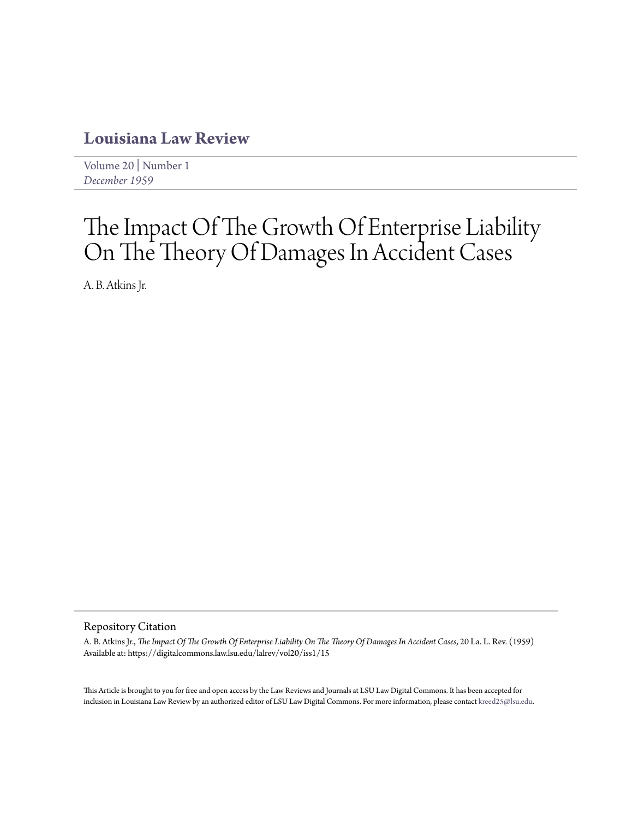# **[Louisiana Law Review](https://digitalcommons.law.lsu.edu/lalrev)**

[Volume 20](https://digitalcommons.law.lsu.edu/lalrev/vol20) | [Number 1](https://digitalcommons.law.lsu.edu/lalrev/vol20/iss1) *[December 1959](https://digitalcommons.law.lsu.edu/lalrev/vol20/iss1)*

# The Impact Of The Growth Of Enterprise Liability On The Theory Of Damages In Accident Cases

A. B. Atkins Jr.

# Repository Citation

A. B. Atkins Jr., *The Impact Of The Growth Of Enterprise Liability On The Theory Of Damages In Accident Cases*, 20 La. L. Rev. (1959) Available at: https://digitalcommons.law.lsu.edu/lalrev/vol20/iss1/15

This Article is brought to you for free and open access by the Law Reviews and Journals at LSU Law Digital Commons. It has been accepted for inclusion in Louisiana Law Review by an authorized editor of LSU Law Digital Commons. For more information, please contact [kreed25@lsu.edu](mailto:kreed25@lsu.edu).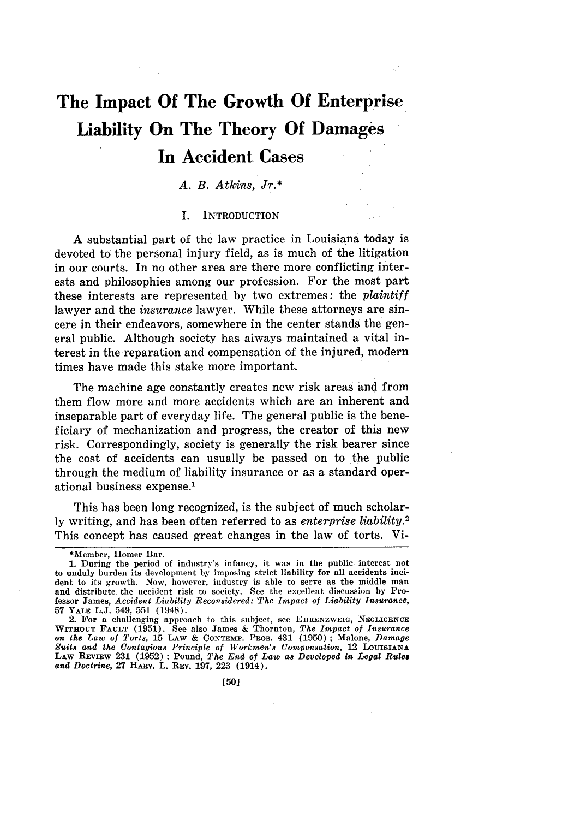# **The Impact Of The Growth Of Enterprise Liability On The Theory Of Damages In Accident** Cases

## *A. B. Atkins, Jr.\**

#### I. INTRODUCTION

A substantial part of the law practice in Louisiana today is devoted to the personal injury field, as is much of the litigation in our courts. In no other area are there more conflicting interests and philosophies among our profession. For the most part these interests are represented by two extremes: the *plaintiff* lawyer and the *insurance* lawyer. While these attorneys are sincere in their endeavors, somewhere in the center stands the general public. Although society has always maintained a vital interest in the reparation and compensation of the injured, modern times have made this stake more important.

The machine age constantly creates new risk areas and from them flow more and more accidents which are an inherent and inseparable part of everyday life. The general public is the beneficiary of mechanization and progress, the creator of this new risk. Correspondingly, society is generally the risk bearer since the cost of accidents can usually be passed on to the public through the medium of liability insurance or as a standard operational business expense.'

This has been long recognized, is the subject of much scholarly writing, and has been often referred to as *enterprise liability.2* This concept has caused great changes in the law of torts. Vi-

<sup>\*</sup>Member, Homer Bar.

<sup>1.</sup> During the period of industry's infancy, it was in the public interest not to unduly burden its development by imposing strict liability for all accidents incident to its growth. Now, however, industry is able to serve as the middle man and distribute, the accident risk to society. See the excellent discussion by Professor James, *Accident Liability Reconsidered: 'The Impact of Liability Insurance,* **57** YALE L.J. 549, 551 (1948).

<sup>2.</sup> For a challenging approach to this subject, see EHRENZWEIG, NEGLIGENCE WITHOUT FAULT (1951). See also James & Thornton, *The Impact of Insurance on the Law of Torts,* **15** LAW & **CONTEMP.** PROB. 431 (1950) **;** Malone, *Damage Suits and the Contagious Principle of Workmen's Compensation,* 12 **LOUISIANA LAW** REVIEW 231 (1952) **; Pound,** *The End of Law as Developed in Legal Rulea and Doctrine,* 27 **HARV.** L. REV. 197, 223 (1914).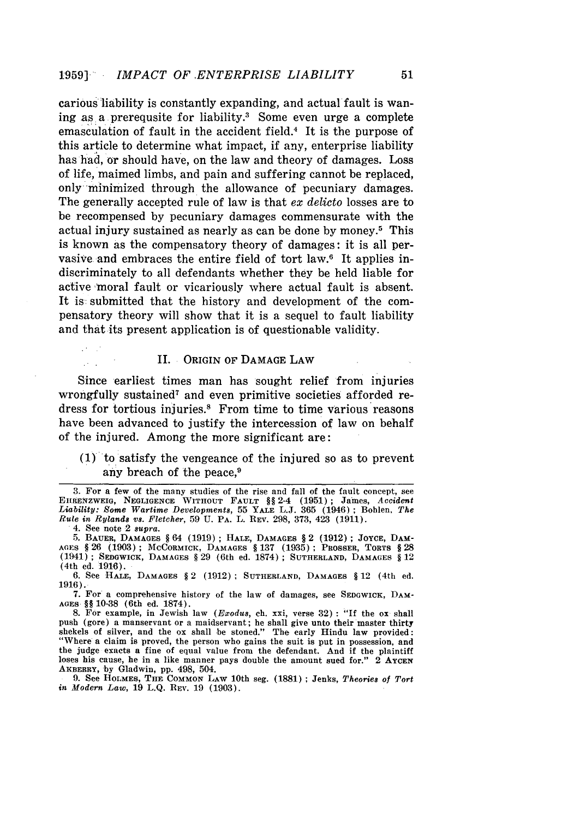carious liability is constantly expanding, and actual fault is waning as a prerequsite for liability.<sup>3</sup> Some even urge a complete emasculation of fault in the accident field.4 It is the purpose of this article to determine what impact, if any, enterprise liability has had, or should have, on the law and theory of damages. Loss of life, maimed limbs, and pain and suffering cannot be replaced, only minimized through the allowance of pecuniary damages. The generally accepted rule of law is that ex *delicto* losses are to be recompensed by pecuniary damages commensurate with the actual injury sustained as nearly as can be done by money.<sup>5</sup> This is known as the compensatory theory of damages: it is all pervasive and embraces the entire field of tort law.<sup>6</sup> It applies indiscriminately to all defendants whether they be held liable for active moral fault or vicariously where actual fault is absent. It is submitted that the history and development of the compensatory theory will show that it is a sequel to fault liability and that its present application is of questionable validity.

#### II. ORIGIN OF **DAMAGE** LAW

Since earliest times man has sought relief from injuries wrongfully sustained<sup>7</sup> and even primitive societies afforded redress for tortious injuries.8 From time to time various reasons have been advanced to justify the intercession of law on behalf of the injured. Among the more significant are:

**(1)** to satisfy the vengeance of the injured so as to prevent any breach of the peace. $9$ 

4. See note 2 *supra.*

6. **See HALE, DAMAGES** § 2 (1912) **; SUTHERLAND, DAMAGES** § 12 (4th **ed.** 1916).

7. For a comprehensive history of the law of damages, see **SEDGWICK,** DAM-**AGES** §§ 10-38 (6th ed. 1874).

8. For example, in Jewish law *(Exodus, ch. xxi, verse 32)* : "If the ox shall push (gore) a manservant or a maidservant; he shall give unto their master thirty shekels of silver, and the ox shall be stoned." The early Hindu law provided: "Where a claim **is** proved, the person who gains the suit is put in possession, **and** the judge exacts a fine of equal value from the defendant. And if the plaintiff loses his cause, he in a like manner pays double the amount sued for." 2 AYCEN **AKBERRY, by** Gladwin, **pp.** 498, 504.

**9.** See **HOLMES, THE COMMON** LAW 10th seg. (1881) **;** Jenks, *Theories of Tort in Modern Law,* 19 L.Q. REV. 19 (1903).

**<sup>3.</sup>** For a few of the many studies of the rise and fall of the fault concept, see **EHIRENZWEIG, NEGLIGENCE WITHOUT FAULT** *§§* 2-4 (1951); James, *Accident Liability: Some Wartime Developments,* 55 **YALE** L.J. 365 (1946) ; Bohlen, *The Rule in Rylands vs. Fletcher,* 59 U. **PA.** L. REV. 298, 373, 423 (1911).

<sup>5.</sup> BAUER, **DAMAGES** § 64 (1919) ; HALE, **DAMAGES** § 2 (1912) ; **JOYCE, DAM-AGES** § 26 (1903); **MCCORMICK, DAMAGES** § 137 (1935) **; PROSSER,** TORTS § **28** (1941); SEDGWICK, **DAMAGES** § 29 (6th ed. 1874) ; **SUTHERLAND, DAMAGES** § 12 (4th ed. 1916).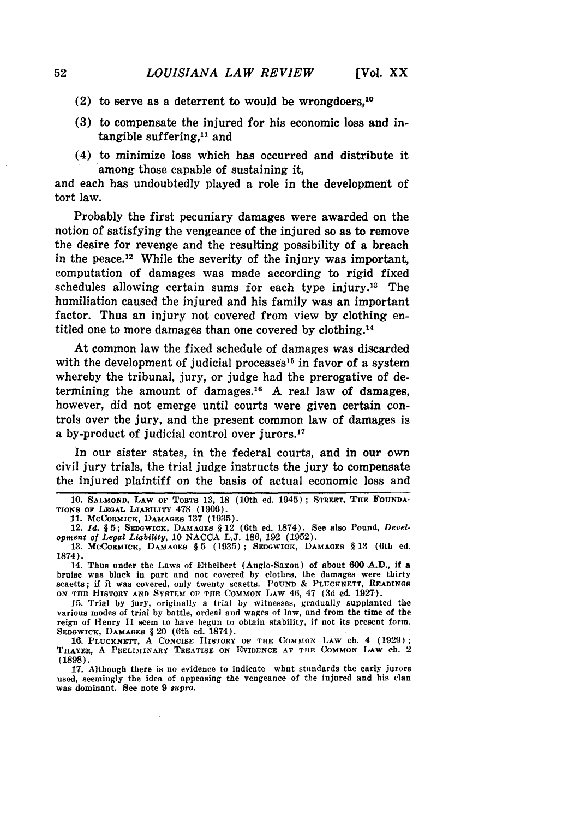- (2) to serve as a deterrent to would be wrongdoers.<sup>10</sup>
- **(3)** to compensate the injured for his economic loss and intangible suffering, $11$  and
- (4) to minimize loss which has occurred and distribute it among those capable of sustaining it,

and each has undoubtedly played a role in the development of tort law.

Probably the first pecuniary damages were awarded on the notion of satisfying the vengeance of the injured so as to remove the desire for revenge and the resulting possibility of a breach in the peace.12 While the severity of the injury was important, computation of damages was made according to rigid fixed schedules allowing certain sums for each type injury.13 The humiliation caused the injured and his family was an important factor. Thus an injury not covered from view by clothing entitled one to more damages than one covered by clothing.<sup>14</sup>

At common law the fixed schedule of damages was discarded with the development of judicial processes<sup>15</sup> in favor of a system whereby the tribunal, jury, or judge had the prerogative of determining the amount of damages.<sup>16</sup> A real law of damages, however, did not emerge until courts were given certain controls over the jury, and the present common law of damages is a by-product of judicial control over jurors.<sup>17</sup>

In our sister states, in the federal courts, and in our own civil jury trials, the trial judge instructs the jury to compensate the injured plaintiff on the basis of actual economic loss and

14. Thus under the Laws of Ethelbert (Anglo-Saxon) of about **600 A.D.,** if a bruise **was** black in part and not covered by clothes, the damages were thirty scaetts; if **ft was** covered, only twenty scaetts. **POUND** & **PLUCKNETT, READINGS ON THE HISTORY AND SYSTEM OF THE** COMMON LAW 46, 47 **(3d** ed. **1927).**

15. Trial by jury, originally a trial by witnesses, gradually supplanted the various modes of **trial by** battle, ordeal and wages of law, and from the **time** of the reign of Henry **I** seem to have begun to obtain stability, if not its present form. **SEDGWICIc, DAMAGES** § 20 (6th ed. **1874).**

**16. PLUCKNETT, A CONCISE HISTORY** OF **THE COMMON 1,Aw ch. 4 (1929); 'I 'IAYER, A PRELIMINARY TREATISE** ON **EVIDENCE AT TIlE COMMON LAW ch.** <sup>2</sup> **(1898).**

**17.** Although there is no evidence to indicate what standards the early jurors used, seemingly the idea of appeasing the vengeance of the injured and his clan was dominant. See note **9** 8upra.

**<sup>10.</sup> SALMOND, LAW OF TORTS 13,** 18 (10th ed. 1945) **; STREET, THE FOUNDA-TIONS OF LEGAL LIABILITY 478 (1906).**

**<sup>11.</sup> MCCORMICK, DAMAGES 137 (1935).**

<sup>12.</sup> *Id. §* **5; SEDGWICK, DAMAGES** § 12 (6th ed. **1874). See also Pound,** *Development of Legal Liability,* 10 NACCA **L.J.** 186, 192 **(1952).**

<sup>13.</sup> MCCORMICK, **DAMAGES** § 5 (1935) ; **SEDGWICK, DAMAGES** § **13** (6th ed. **1874).**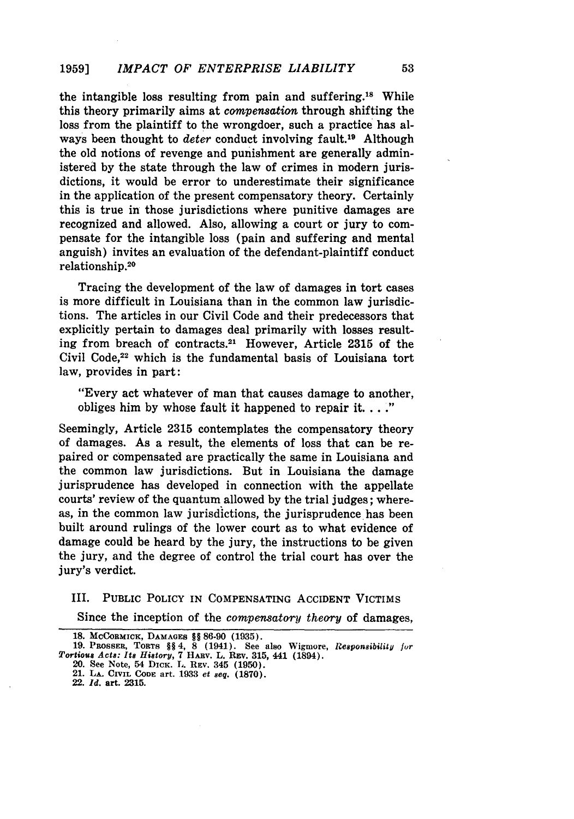the intangible loss resulting from pain and suffering.<sup>18</sup> While this theory primarily aims at *compensation* through shifting the loss from the plaintiff to the wrongdoer, such a practice has always been thought to *deter* conduct involving fault.19 Although the old notions of revenge and punishment are generally administered by the state through the law of crimes in modern jurisdictions, it would be error to underestimate their significance in the application of the present compensatory theory. Certainly this is true in those jurisdictions where punitive damages are recognized and allowed. Also, allowing a court or jury to compensate for the intangible loss (pain and suffering and mental anguish) invites an evaluation of the defendant-plaintiff conduct relationship. <sup>20</sup>

Tracing the development of the law of damages in tort cases is more difficult in Louisiana than in the common law jurisdictions. The articles in our Civil Code and their predecessors that explicitly pertain to damages deal primarily with losses resulting from breach of contracts.21 However, Article 2315 of the Civil Code,<sup>22</sup> which is the fundamental basis of Louisiana tort law, provides in part:

"Every act whatever of man that causes damage to another, obliges him by whose fault it happened to repair it. **.. ."**

Seemingly, Article 2315 contemplates the compensatory theory of damages. As a result, the elements of loss that can be repaired or compensated are practically the same in Louisiana and the common law jurisdictions. But in Louisiana the damage jurisprudence has developed in connection with the appellate courts' review of the quantum allowed by the trial judges; whereas, in the common law jurisdictions, the jurisprudence has been built around rulings of the lower court as to what evidence of damage could be heard by the jury, the instructions to be given the jury, and the degree of control the trial court has over the jury's verdict.

III. PUBLIC POLICY IN COMPENSATING ACCIDENT VICTIMS

Since the inception of the *compensatory theory* of damages,

**<sup>18.</sup> McCoRMICK, DAMAGES** §§ **86-90 (1935).**

**<sup>19.</sup>** PROSSER, TORTS **§§** 4, 8 (1941). See also Wigmore, *Responsibility fur Tortious Acts: Its History,* 7 HARv. L. REV. **315,** 441 (1894).

<sup>20.</sup> See Note, 54 DICK. L. **REV.** 345 **(1950).**

<sup>21.</sup> **LA. CIVIL CODE** art. **19833** *et seq.* **(1870).**

<sup>22.</sup> *Id.* art. **2315.**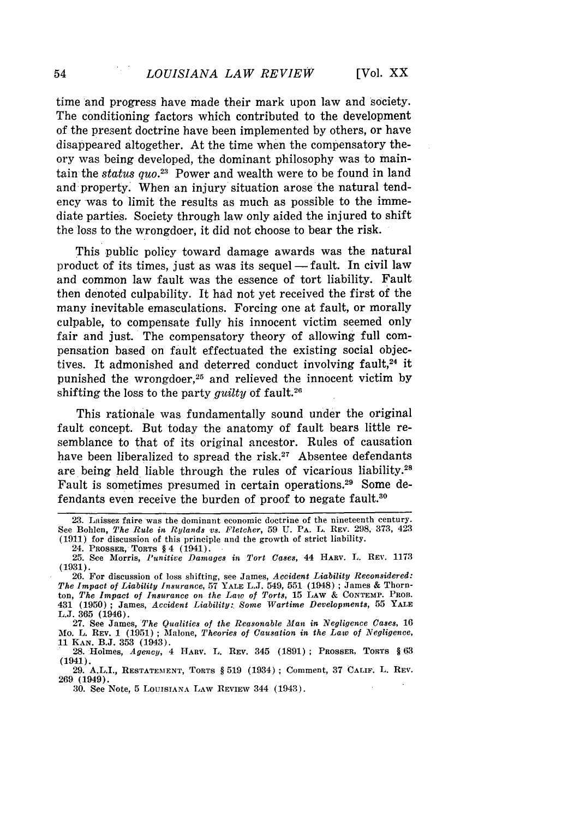**[Vol. XX**

time and progress have made their mark upon law and society. The conditioning factors which contributed to the development of the present doctrine have been implemented by others, or have disappeared altogether. At the time when the compensatory theory was being developed, the dominant philosophy was to maintain the *status quo.*<sup>23</sup> Power and wealth were to be found in land and property. When an injury situation arose the natural tendency was to limit the results as much as possible to the immediate parties. Society through law only aided the injured to shift the *loss* to the wrongdoer, it did not choose to bear the risk.

This public policy toward damage awards was the natural product of its times, just as was its sequel -fault. In civil law and common law fault was the essence of tort liability. Fault then denoted culpability. It had not yet received the first of the many inevitable emasculations. Forcing one at fault, or morally culpable, to compensate fully his innocent victim seemed only fair and just. The compensatory theory of allowing full compensation based on fault effectuated the existing social objectives. It admonished and deterred conduct involving fault, $24$  it punished the wrongdoer,<sup>25</sup> and relieved the innocent victim by shifting the loss to the party *quilty* of fault.<sup>26</sup>

This rationale was fundamentally sound under the original fault concept. But today the anatomy of fault bears little resemblance to that of its original ancestor. Rules of causation have been liberalized to spread the risk.<sup>27</sup> Absentee defendants are being held liable through the rules of vicarious liability.28 Fault is sometimes presumed in certain operations.29 Some defendants even receive the burden of proof to negate fault.30

24. PROSSER, TORTS § 4 (1941).

**25.** See Morris, *Punitive Damages in Tort Cases,* 44 **HARV.** L. REV. 1173 (1931).

26. For discussion of loss shifting, see James, *Accident Liability Reconsidered: The Impact of Liability Insurance,* 57 **YALE** L.J. 549, 551 (1948) ; James & Thornton, *The Impact of Insurance on the Law of Torts,* 15 LAw & **CONTEMP. PROB.** 431 (1950) ; James, *Accident Liability:, Some Wartime Developments,* 55 YALE L.J. 365 (1946).

27. See James, *The Qualities of the Reasonable Man in Negligence Cases,* <sup>16</sup> Mo. L. REV. **1 (1951)** ; Malone, *Theories of Causation in the Law of Negligence,* **11 KAcN. B.J. 353** (1943).

**28.** Holmes, *Agency,* 4 HARv. L. REV. 345 **(1891) ;** PROSSER, TORTS § **63** (1941).

**29.** A.L.I., **RESTATEMENT,** TORTS § 519 (1934) **;** Comment, 37 **CALiF.** L. REV. **269** (1949).

**30.** See Note, **5** LOUISIANA LAW **REVIEW** 344 (1943).

<sup>23.</sup> Laissez faire was the dominant economic doctrine of the nineteenth century. See Bohlen, The *Rule in Rylands vs. Fletcher,* 59 U. PA. L. REV. 298, 373, 423 (1911) for discussion of this principle and the growth of strict liability.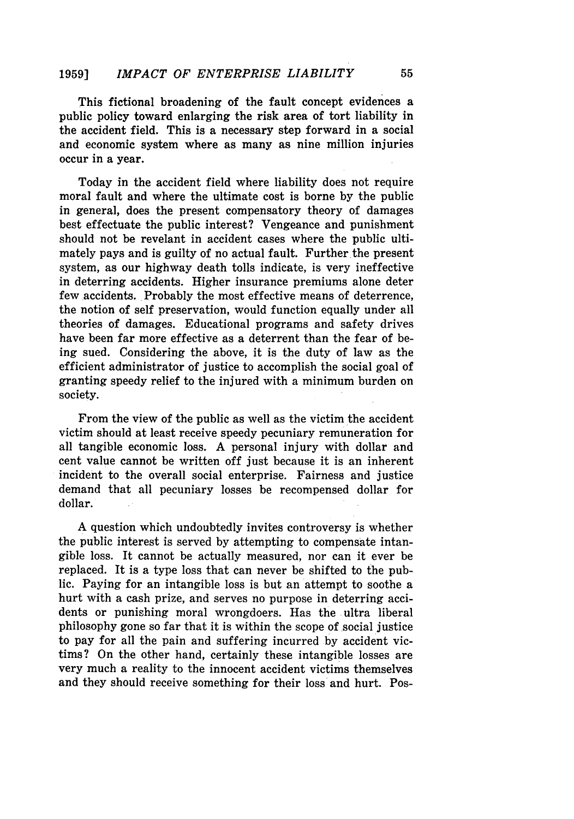This fictional broadening of the fault concept evidences a public policy toward enlarging the risk area of tort liability in the accident field. This is a necessary step forward in a social and economic system where as many as nine million injuries occur in a year.

Today in the accident field where liability does not require moral fault and where the ultimate cost is borne **by** the public in general, does the present compensatory theory of damages best effectuate the public interest? Vengeance and punishment should not be revelant in accident cases where the public ultimately pays and is guilty of no actual fault. Further the present system, as our highway death tolls indicate, is very ineffective in deterring accidents. Higher insurance premiums alone deter few accidents. Probably the most effective means of deterrence, the notion of self preservation, would function equally under all theories of damages. Educational programs and safety drives have been far more effective as a deterrent than the fear of being sued. Considering the above, it is the duty of law as the efficient administrator of justice to accomplish the social goal of granting speedy relief to the injured with a minimum burden on society.

From the view of the public as well as the victim the accident victim should at least receive speedy pecuniary remuneration for all tangible economic loss. **A** personal injury with dollar and cent value cannot be written off just because it is an inherent incident to the overall social enterprise. Fairness and justice demand that all pecuniary losses be recompensed dollar for dollar.

A question which undoubtedly invites controversy is whether the public interest is served by attempting to compensate intangible loss. It cannot be actually measured, nor can it ever be replaced. It is a type loss that can never be shifted to the public. Paying for an intangible loss is but an attempt to soothe a hurt with a cash prize, and serves no purpose in deterring accidents or punishing moral wrongdoers. Has the ultra liberal philosophy gone so far that it is within the scope of social justice to pay for all the pain and suffering incurred by accident victims? On the other hand, certainly these intangible losses are very much a reality to the innocent accident victims themselves and they should receive something for their loss and hurt. Pos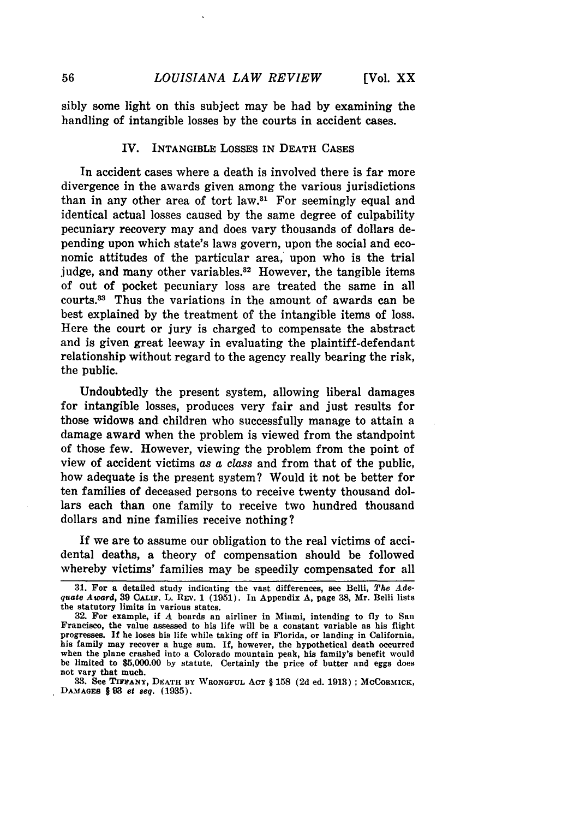sibly some light on this subject may be had by examining the handling of intangible losses **by** the courts in accident cases.

### IV. INTANGIBLE LOSSES IN **DEATH CASES**

In accident cases where a death is involved there is far more divergence in the awards given among the various jurisdictions than in any other area of tort law.31 For seemingly equal and identical actual losses caused **by** the same degree of culpability pecuniary recovery may and does vary thousands of dollars depending upon which state's laws govern, upon the social and economic attitudes of the particular area, upon who is the trial judge, and many other variables. $32$  However, the tangible items of out of pocket pecuniary loss are treated the same in all  $counts.<sup>33</sup>$  Thus the variations in the amount of awards can be best explained **by** the treatment of the intangible items of loss. Here the court or jury is charged to compensate the abstract and is given great leeway in evaluating the plaintiff-defendant relationship without regard to the agency really bearing the risk, the public.

Undoubtedly the present system, allowing liberal damages for intangible losses, produces very fair and just results for those widows and children who successfully manage to attain a damage award when the problem is viewed from the standpoint of those few. However, viewing the problem from the point of view of accident victims as a class and from that of the public, how adequate is the present system? Would it not be better for ten families of deceased persons to receive twenty thousand dollars each than one family to receive two hundred thousand dollars and nine families receive nothing?

If we are to assume our obligation to the real victims of accidental deaths, a theory of compensation should be followed whereby victims' families may be speedily compensated for all

**DAMAGES §93** *et seq.* **(1935).**

**<sup>31.</sup>** For a detailed study indicating the vast differences, see Belli, *The Adequate Award,* **39 CALiF.** L. REv. 1 **(1951).** In Appendix **A,** page **38,** Mr. Belli lists the statutory limits in various states.

**<sup>32.</sup>** For example, if *A* boards an airliner in Miami, intending to **fly** to San Francisco, the value assessed to his life will be a constant variable as his flight progresses. **If** he loses his life while taking off in Florida, or landing in California, his family may recover a huge sum. **If,** however, the hypothetical death occurred when the plane crashed into a Colorado mountain peak, his family's benefit would be limited to **\$5,000.00 by** statute. Certainly the price of butter and eggs does not vary that much. **33.** See **TIFFANY, DEATH BY WRONGFUL ACT** § **158 (2d** ed. **1913) ; MCCORMICK,**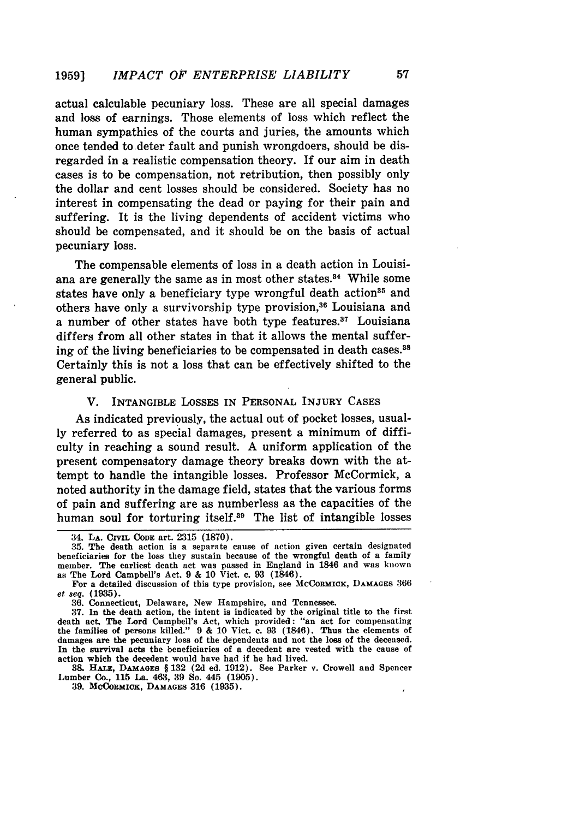actual calculable pecuniary loss. These are all special damages and loss of earnings. Those elements of loss which reflect the human sympathies of the courts and juries, the amounts which once tended to deter fault and punish wrongdoers, should be disregarded in a realistic compensation theory. If our aim in death cases is to be compensation, not retribution, then possibly only the dollar and cent losses should be considered. Society has no interest in compensating the dead or paying for their pain and suffering. It is the living dependents of accident victims who should be compensated, and it should be on the basis of actual pecuniary loss.

The compensable elements of loss in a death action in Louisiana are generally the same as in most other states.<sup>34</sup> While some states have only a beneficiary type wrongful death action<sup>35</sup> and others have only a survivorship type provision,<sup>36</sup> Louisiana and a number of other states have both type features. $37$  Louisiana differs from all other states in that it allows the mental suffering of the living beneficiaries to be compensated in death cases.<sup>38</sup> Certainly this is not a loss that can be effectively shifted to the general public.

# V. INTANGIBLE LOSSES IN **PERSONAL** INJURY **CASES**

As indicated previously, the actual out of pocket losses, usually referred to as special damages, present a minimum of difficulty in reaching a sound result. A uniform application of the present compensatory damage theory breaks down with the attempt to handle the intangible losses. Professor McCormick, a noted authority in the damage field, states that the various forms of pain and suffering are as numberless as the capacities of the human soul for torturing itself.<sup>39</sup> The list of intangible losses

**38.** HATE, **DAMAGES** § 132 (2d ed. 1912). See Parker v. Crowell and Spencer Lumber Co., **115** La. 463, **39 So.** 445 (1905).

**39. MCoRMICK, DAMAGES 316 (1935).**

<sup>314.</sup> **LA.** CIVii **CODE** art. 2315 (1870).

<sup>35.</sup> The death action is a separate cause of action given certain designated beneficiaries for the loss they sustain because of the wrongful death of a family member. The earliest death act was passed in England in **1846** and was known as The Lord Campbell's Act. **9** & 10 Vict. c. **93** (1846).

For a detailed discussion of this type provision, see MCCORMICK, DAMAGES 366 et seq. **(1935).**

**<sup>36.</sup>** Connecticut, Delaware, New Hampshire, and Tennessee.

**<sup>37.</sup>** In the death action, the intent is indicated by the original title to the first death act, The Lord Campbell's Act, which provided: "an act for compensating the families of persons killed." 9 & 10 Vict. **c.** 93 (1846). Thus the elements of damages are the pecuniary loss of the dependents and not the loss of the deceased. **In** the survival acts the beneficiaries of a decedent are vested with the cause of action which the decedent would have had if he had lived.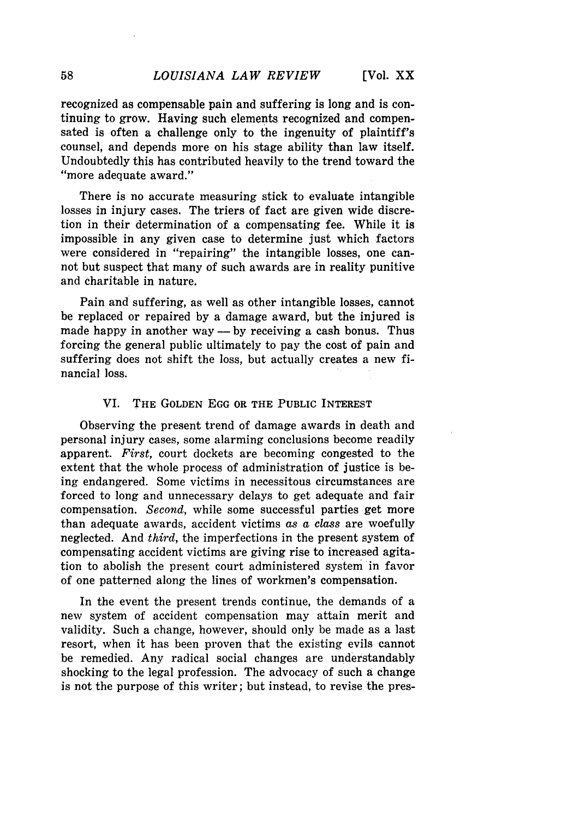recognized as compensable pain and suffering is long and is continuing to grow. Having such elements recognized and compensated is often a challenge only to the ingenuity of plaintiff's counsel, and depends more on his stage ability than law itself. Undoubtedly this has contributed heavily to the trend toward the "more adequate award."

There is no accurate measuring stick to evaluate intangible losses in injury cases. The triers of fact are given wide discretion in their determination of a compensating fee. While it is impossible in any given case to determine just which factors were considered in "repairing" the intangible losses, one cannot but suspect that many of such awards are in reality punitive and charitable in nature.

Pain and suffering, as well as other intangible losses, cannot be replaced or repaired **by** a damage award, but the injured is made happy in another way — by receiving a cash bonus. Thus forcing the general public ultimately to pay the cost of pain and suffering does not shift the loss, but actually creates a new financial loss.

#### VI. THE GOLDEN **EGG** OR THE PUBLIC INTEREST

Observing the present trend of damage awards in death and personal injury cases, some alarming conclusions become readily apparent. *First,* court dockets are becoming congested to the extent that the whole process of administration of justice is being endangered. Some victims in necessitous circumstances are forced to long and unnecessary delays to get adequate and fair compensation. *Second,* while some successful parties get more than adequate awards, accident victims *as a* class are woefully neglected. And *third,* the imperfections in the present system of compensating accident victims are giving rise to increased agitation to abolish the present court administered system in favor of one patterned along the lines of workmen's compensation.

In the event the present trends continue, the demands of a new system of accident compensation may attain merit and validity. Such a change, however, should only be made as a last resort, when it has been proven that the existing evils cannot be remedied. Any radical social changes are understandably shocking to the legal profession. The advocacy of such a change is not the purpose of this writer; but instead, to revise the pres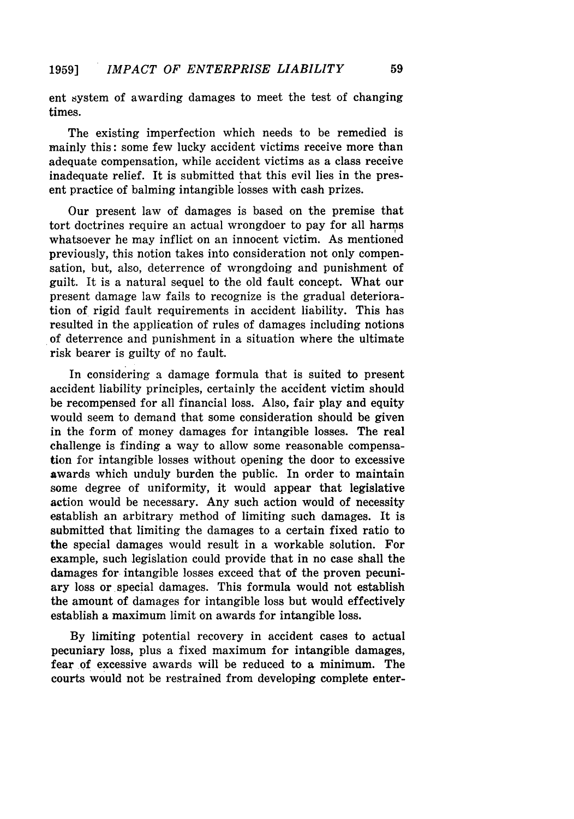ent system of awarding damages to meet the test of changing times.

The existing imperfection which needs to be remedied is mainly this: some few lucky accident victims receive more than adequate compensation, while accident victims as a class receive inadequate relief. It is submitted that this evil lies in the present practice of balming intangible losses with cash prizes.

Our present law of damages is based on the premise that tort doctrines require an actual wrongdoer to pay for all harms whatsoever he may inflict on an innocent victim. As mentioned previously, this notion takes into consideration not only compensation, but, also, deterrence of wrongdoing and punishment of guilt. It is a natural sequel to the old fault concept. What our present damage law fails to recognize is the gradual deterioration of rigid fault requirements in accident liability. This has resulted in the application of rules of damages including notions of deterrence and punishment in a situation where the ultimate risk bearer is guilty of no fault.

In considering a damage formula that is suited to present accident liability principles, certainly the accident victim should be recompensed for all financial loss. Also, fair play and equity would seem to demand that some consideration should be given in the form of money damages for intangible losses. The real challenge is finding a way to allow some reasonable compensation for intangible losses without opening the door to excessive awards which unduly burden the public. In order to maintain some degree of uniformity, it would appear that legislative action would be necessary. Any such action would of necessity establish an arbitrary method of limiting such damages. It is submitted that limiting the damages to a certain fixed ratio to the special damages would result in a workable solution. For example, such legislation could provide that in no case shall the damages for intangible losses exceed that of the proven pecuniary loss or special damages. This formula would not establish the amount of damages for intangible loss but would effectively establish a maximum limit on awards for intangible loss.

By limiting potential recovery in accident cases to actual pecuniary loss, plus a fixed maximum for intangible damages, fear of excessive awards will be reduced to a minimum. The courts would not be restrained from developing complete enter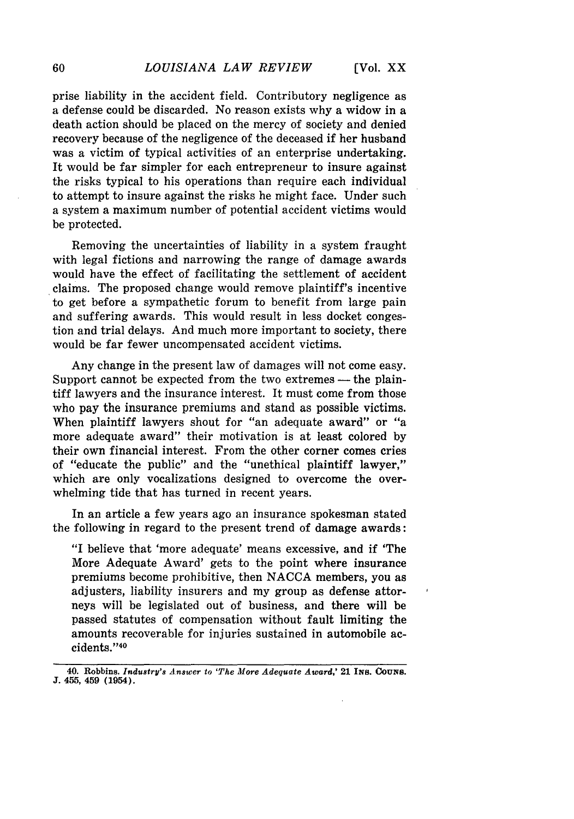prise liability in the accident field. Contributory negligence as a defense could be discarded. No reason exists why a widow in a death action should be placed on the mercy of society and denied recovery because of the negligence of the deceased if her husband was a victim of typical activities of an enterprise undertaking. It would be far simpler for each entrepreneur to insure against the risks typical to his operations than require each individual to attempt to insure against the risks he might face. Under such a system a maximum number of potential accident victims would be protected.

Removing the uncertainties of liability in a system fraught with legal fictions and narrowing the range of damage awards would have the effect of facilitating the settlement of accident claims. The proposed change would remove plaintiff's incentive to get before a sympathetic forum to benefit from large pain and suffering awards. This would result in less docket congestion and trial delays. And much more important to society, there would be far fewer uncompensated accident victims.

Any change in the present law of damages will not come easy. Support cannot be expected from the two extremes - the plaintiff lawyers and the insurance interest. It must come from those who pay the insurance premiums and stand as possible victims. When plaintiff lawyers shout for "an adequate award" or "a more adequate award" their motivation is at least colored by their own financial interest. From the other corner comes cries of "educate the public" and the "unethical plaintiff lawyer," which are only vocalizations designed to overcome the overwhelming tide that has turned in recent years.

In an article a few years ago an insurance spokesman stated the following in regard to the present trend of damage awards:

"I believe that 'more adequate' means excessive, and if 'The More Adequate Award' gets to the point where insurance premiums become prohibitive, then NACCA members, you as adjusters, liability insurers and my group as defense attorneys will be legislated out of business, and there will be passed statutes of compensation without fault limiting the amounts recoverable for injuries sustained in automobile accidents."40

60

**<sup>40.</sup> Robbins.** *Industry's Answer to 'The More Adequate Award,'* **21 INS. COUNS. J. 455,** 459 (1954).